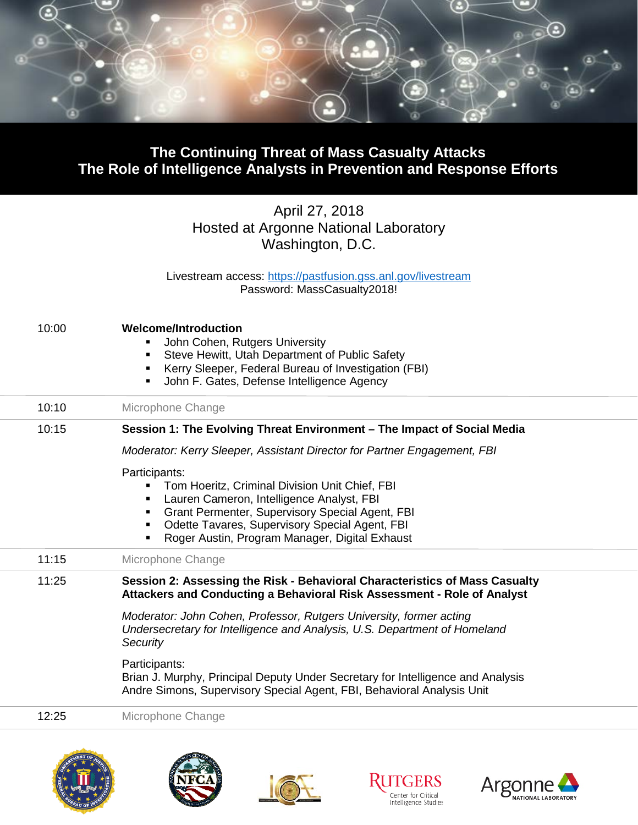

## **The Continuing Threat of Mass Casualty Attacks The Role of Intelligence Analysts in Prevention and Response Efforts**

## April 27, 2018 Hosted at Argonne National Laboratory Washington, D.C.

Livestream access: <u>https://pastfusion.gss.anl.gov/livestream</u> Password: MassCasualty2018!

| 10:00   | <b>Welcome/Introduction</b><br>John Cohen, Rutgers University<br>Steve Hewitt, Utah Department of Public Safety<br>٠<br>Kerry Sleeper, Federal Bureau of Investigation (FBI)<br>٠<br>John F. Gates, Defense Intelligence Agency                                          |
|---------|--------------------------------------------------------------------------------------------------------------------------------------------------------------------------------------------------------------------------------------------------------------------------|
| 10:10   | Microphone Change                                                                                                                                                                                                                                                        |
| 10:15   | Session 1: The Evolving Threat Environment - The Impact of Social Media                                                                                                                                                                                                  |
|         | Moderator: Kerry Sleeper, Assistant Director for Partner Engagement, FBI                                                                                                                                                                                                 |
|         | Participants:<br>Tom Hoeritz, Criminal Division Unit Chief, FBI<br>Lauren Cameron, Intelligence Analyst, FBI<br>Grant Permenter, Supervisory Special Agent, FBI<br>Odette Tavares, Supervisory Special Agent, FBI<br>٠<br>Roger Austin, Program Manager, Digital Exhaust |
| 11:15   | Microphone Change                                                                                                                                                                                                                                                        |
| 11:25   | Session 2: Assessing the Risk - Behavioral Characteristics of Mass Casualty<br>Attackers and Conducting a Behavioral Risk Assessment - Role of Analyst                                                                                                                   |
|         | Moderator: John Cohen, Professor, Rutgers University, former acting<br>Undersecretary for Intelligence and Analysis, U.S. Department of Homeland<br>Security                                                                                                             |
|         | Participants:<br>Brian J. Murphy, Principal Deputy Under Secretary for Intelligence and Analysis<br>Andre Simons, Supervisory Special Agent, FBI, Behavioral Analysis Unit                                                                                               |
| 12:25   | Microphone Change                                                                                                                                                                                                                                                        |
| MENT OF | <b>ON CENTRA</b>                                                                                                                                                                                                                                                         |